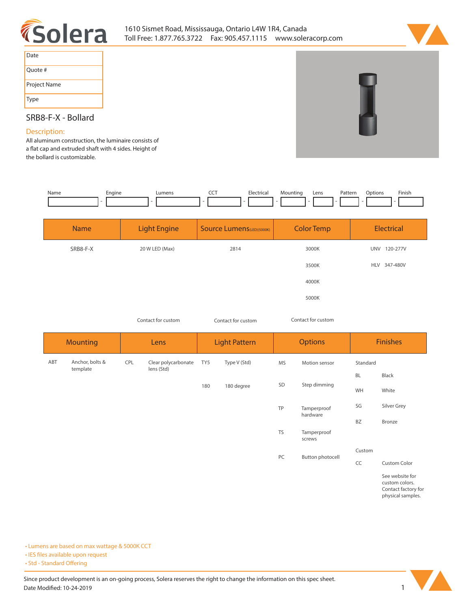



| Date         |  |
|--------------|--|
| Quote #      |  |
| Project Name |  |
| Type         |  |

# **SRB8-F-X - Bollard**

# **Description:**

**All aluminum construction, the luminaire consists of a at cap and extruded shaft with 4 sides. Height of the bollard is customizable.** 

| Name | cngine | umens | --- | Hectrica <sub>r</sub> | <i><b>Aountinc</b></i><br>. . | ∟ens | Pattern<br>. | .Jotion <sup>,</sup> | Finish |
|------|--------|-------|-----|-----------------------|-------------------------------|------|--------------|----------------------|--------|
|      |        |       |     |                       |                               |      |              |                      |        |

| <b>Name</b> | <b>Light Engine</b> | <b>Source Lumens</b> (LED)(5000K) | <b>Color Temp</b> | Electrical             |
|-------------|---------------------|-----------------------------------|-------------------|------------------------|
| SRB8-F-X    | 20 W LED (Max)      | 2814                              | 3000K             | <b>UNV</b><br>120-277V |
|             |                     |                                   | 3500K             | HLV 347-480V           |
|             |                     |                                   | 4000K             |                        |
|             |                     |                                   | 5000K             |                        |

*Contact for custom Contact for custom*

*Contact for custom*

|     | <b>Mounting</b>             |     | Lens                              |     | <b>Light Pattern</b> |           | <b>Options</b>        |           | <b>Finishes</b>                                                               |  |
|-----|-----------------------------|-----|-----------------------------------|-----|----------------------|-----------|-----------------------|-----------|-------------------------------------------------------------------------------|--|
| ABT | Anchor, bolts &<br>template | CPL | Clear polycarbonate<br>lens (Std) | TY5 | Type V (Std)         | <b>MS</b> | Motion sensor         | Standard  |                                                                               |  |
|     |                             |     |                                   |     |                      |           | Step dimming          | <b>BL</b> | Black                                                                         |  |
|     |                             |     |                                   | 180 | 180 degree           | SD        |                       | WH        | White                                                                         |  |
|     |                             |     |                                   |     |                      | TP        | Tamperproof           | SG        | Silver Grey                                                                   |  |
|     |                             |     |                                   |     |                      |           | hardware              | <b>BZ</b> | Bronze                                                                        |  |
|     |                             |     |                                   |     |                      | <b>TS</b> | Tamperproof<br>screws |           |                                                                               |  |
|     |                             |     |                                   |     |                      | PC        | Button photocell      | Custom    |                                                                               |  |
|     |                             |     |                                   |     |                      |           |                       | CC        | Custom Color                                                                  |  |
|     |                             |     |                                   |     |                      |           |                       |           | See website for<br>custom colors.<br>Contact factory for<br>physical samples. |  |

**• Lumens are based on max wattage & 5000K CCT**

**• IES files available upon request** 

• Std - Standard Offering

Since product development is an on-going process, Solera reserves the right to change the information on this spec sheet. **Date Modified: 10-24-2019** 1